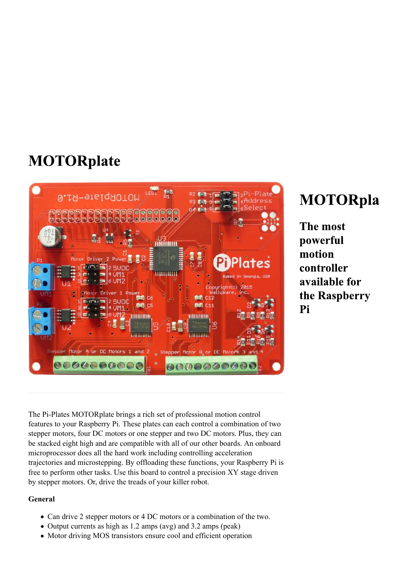## **MOTORplate**



# **MOTORpla**

The most powerful motion controller available for the Raspberry Pi

The Pi-Plates MOTORplate brings a rich set of professional motion control features to your Raspberry Pi. These plates can each control a combination of two stepper motors, four DC motors or one stepper and two DC motors. Plus, they can be stacked eight high and are compatible with all of our other boards. An onboard microprocessor does all the hard work including controlling acceleration trajectories and microstepping. By offloading these functions, your Raspberry Pi is free to perform other tasks. Use this board to control a precision XY stage driven by stepper motors. Or, drive the treads of your killer robot.

#### **General**

- Can drive 2 stepper motors or 4 DC motors or a combination of the two.
- Output currents as high as 1.2 amps (avg) and 3.2 amps (peak)
- Motor driving MOS transistors ensure cool and efficient operation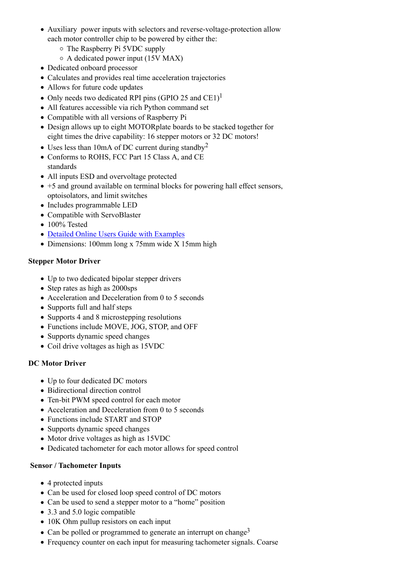- Auxiliary power inputs with selectors and reverse-voltage-protection allow each motor controller chip to be powered by either the:
	- The Raspberry Pi 5VDC supply
	- $\circ$  A dedicated power input (15V MAX)
- Dedicated onboard processor
- Calculates and provides real time acceleration trajectories
- Allows for future code updates
- Only needs two dedicated RPI pins (GPIO 25 and CE1)<sup>1</sup>
- All features accessible via rich Python command set
- Compatible with all versions of Raspberry Pi
- Design allows up to eight MOTORplate boards to be stacked together for eight times the drive capability: 16 stepper motors or 32 DC motors!
- Uses less than 10mA of DC current during standby<sup>2</sup>
- Conforms to ROHS, FCC Part 15 Class A, and CE standards
- All inputs ESD and overvoltage protected
- +5 and ground available on terminal blocks for powering hall effect sensors, optoisolators, and limit switches
- Includes programmable LED
- Compatible with ServoBlaster
- 100% Tested
- Detailed Online Users Guide with Examples
- Dimensions: 100mm long x 75mm wide X 15mm high

### **Stepper Motor Driver**

- Up to two dedicated bipolar stepper drivers
- Step rates as high as 2000sps
- Acceleration and Deceleration from 0 to 5 seconds
- Supports full and half steps
- Supports 4 and 8 microstepping resolutions
- Functions include MOVE, JOG, STOP, and OFF
- Supports dynamic speed changes
- Coil drive voltages as high as 15VDC

## **DC Motor Driver**

- Up to four dedicated DC motors
- Bidirectional direction control
- Ten-bit PWM speed control for each motor
- Acceleration and Deceleration from 0 to 5 seconds
- Functions include START and STOP
- Supports dynamic speed changes
- Motor drive voltages as high as 15VDC
- Dedicated tachometer for each motor allows for speed control

#### **Sensor / Tachometer Inputs**

- 4 protected inputs
- Can be used for closed loop speed control of DC motors
- Can be used to send a stepper motor to a "home" position
- 3.3 and 5.0 logic compatible
- 10K Ohm pullup resistors on each input
- Can be polled or programmed to generate an interrupt on change<sup>3</sup>
- Frequency counter on each input for measuring tachometer signals. Coarse